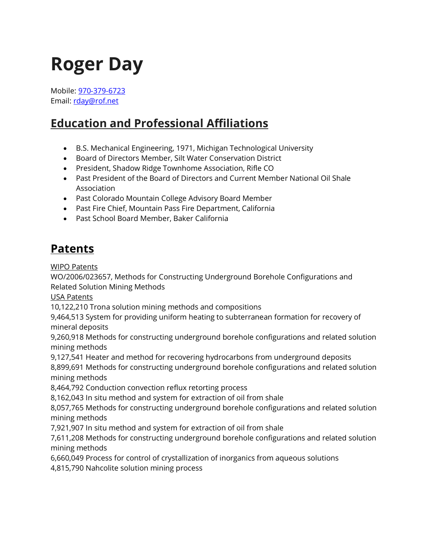# **Roger Day**

Mobile: [970-379-6723](tel:%20970-379-6723) Email: [rday@rof.net](mailto:rday@rof.net)

## **Education and Professional Affiliations**

- B.S. Mechanical Engineering, 1971, Michigan Technological University
- Board of Directors Member, Silt Water Conservation District
- President, Shadow Ridge Townhome Association, Rifle CO
- Past President of the Board of Directors and Current Member National Oil Shale Association
- Past Colorado Mountain College Advisory Board Member
- Past Fire Chief, Mountain Pass Fire Department, California
- Past School Board Member, Baker California

## **Patents**

WIPO Patents

WO/2006/023657, Methods for Constructing Underground Borehole Configurations and Related Solution Mining Methods

USA Patents

10,122,210 Trona solution mining methods and compositions

9,464,513 System for providing uniform heating to subterranean formation for recovery of mineral deposits

9,260,918 Methods for constructing underground borehole configurations and related solution mining methods

9,127,541 Heater and method for recovering hydrocarbons from underground deposits

8,899,691 Methods for constructing underground borehole configurations and related solution mining methods

8,464,792 Conduction convection reflux retorting process

8,162,043 In situ method and system for extraction of oil from shale

8,057,765 Methods for constructing underground borehole configurations and related solution mining methods

7,921,907 In situ method and system for extraction of oil from shale

7,611,208 Methods for constructing underground borehole configurations and related solution mining methods

6,660,049 Process for control of crystallization of inorganics from aqueous solutions

4,815,790 Nahcolite solution mining process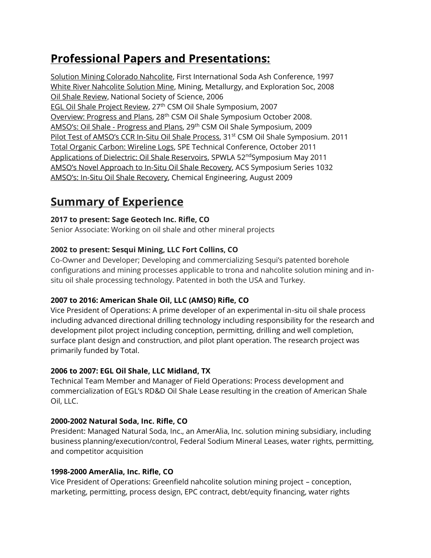## **Professional Papers and Presentations:**

Solution Mining Colorado Nahcolite, First International Soda Ash Conference, 1997 White River Nahcolite Solution Mine, Mining, Metallurgy, and Exploration Soc, 2008 Oil Shale Review, National Society of Science, 2006 EGL Oil Shale Project Review, 27<sup>th</sup> CSM Oil Shale Symposium, 2007 Overview: Progress and Plans, 28th CSM Oil Shale Symposium October 2008. AMSO's: Oil Shale - Progress and Plans, 29<sup>th</sup> CSM Oil Shale Symposium, 2009 Pilot Test of AMSO's CCR In-Situ Oil Shale Process, 31<sup>st</sup> CSM Oil Shale Symposium. 2011 Total Organic Carbon: Wireline Logs, SPE Technical Conference, October 2011 Applications of Dielectric: Oil Shale Reservoirs, SPWLA 52<sup>nd</sup>Symposium May 2011 AMSO's Novel Approach to In-Situ Oil Shale Recovery, ACS Symposium Series 1032 AMSO's: In-Situ Oil Shale Recovery, Chemical Engineering, August 2009

### **Summary of Experience**

#### **2017 to present: Sage Geotech Inc. Rifle, CO**

Senior Associate: Working on oil shale and other mineral projects

#### **2002 to present: Sesqui Mining, LLC Fort Collins, CO**

Co-Owner and Developer; Developing and commercializing Sesqui's patented borehole configurations and mining processes applicable to trona and nahcolite solution mining and insitu oil shale processing technology. Patented in both the USA and Turkey.

#### **2007 to 2016: American Shale Oil, LLC (AMSO) Rifle, CO**

Vice President of Operations: A prime developer of an experimental in-situ oil shale process including advanced directional drilling technology including responsibility for the research and development pilot project including conception, permitting, drilling and well completion, surface plant design and construction, and pilot plant operation. The research project was primarily funded by Total.

#### **2006 to 2007: EGL Oil Shale, LLC Midland, TX**

Technical Team Member and Manager of Field Operations: Process development and commercialization of EGL's RD&D Oil Shale Lease resulting in the creation of American Shale Oil, LLC.

#### **2000-2002 Natural Soda, Inc. Rifle, CO**

President: Managed Natural Soda, Inc., an AmerAlia, Inc. solution mining subsidiary, including business planning/execution/control, Federal Sodium Mineral Leases, water rights, permitting, and competitor acquisition

#### **1998-2000 AmerAlia, Inc. Rifle, CO**

Vice President of Operations: Greenfield nahcolite solution mining project – conception, marketing, permitting, process design, EPC contract, debt/equity financing, water rights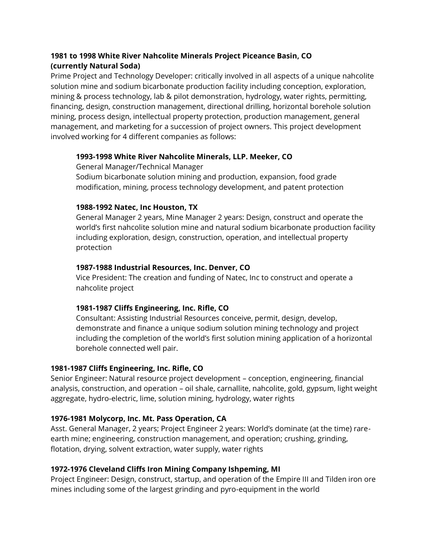#### **1981 to 1998 White River Nahcolite Minerals Project Piceance Basin, CO (currently Natural Soda)**

Prime Project and Technology Developer: critically involved in all aspects of a unique nahcolite solution mine and sodium bicarbonate production facility including conception, exploration, mining & process technology, lab & pilot demonstration, hydrology, water rights, permitting, financing, design, construction management, directional drilling, horizontal borehole solution mining, process design, intellectual property protection, production management, general management, and marketing for a succession of project owners. This project development involved working for 4 different companies as follows:

#### **1993-1998 White River Nahcolite Minerals, LLP. Meeker, CO**

General Manager/Technical Manager

Sodium bicarbonate solution mining and production, expansion, food grade modification, mining, process technology development, and patent protection

#### **1988-1992 Natec, Inc Houston, TX**

General Manager 2 years, Mine Manager 2 years: Design, construct and operate the world's first nahcolite solution mine and natural sodium bicarbonate production facility including exploration, design, construction, operation, and intellectual property protection

#### **1987-1988 Industrial Resources, Inc. Denver, CO**

Vice President: The creation and funding of Natec, Inc to construct and operate a nahcolite project

#### **1981-1987 Cliffs Engineering, Inc. Rifle, CO**

Consultant: Assisting Industrial Resources conceive, permit, design, develop, demonstrate and finance a unique sodium solution mining technology and project including the completion of the world's first solution mining application of a horizontal borehole connected well pair.

#### **1981-1987 Cliffs Engineering, Inc. Rifle, CO**

Senior Engineer: Natural resource project development – conception, engineering, financial analysis, construction, and operation – oil shale, carnallite, nahcolite, gold, gypsum, light weight aggregate, hydro-electric, lime, solution mining, hydrology, water rights

#### **1976-1981 Molycorp, Inc. Mt. Pass Operation, CA**

Asst. General Manager, 2 years; Project Engineer 2 years: World's dominate (at the time) rareearth mine; engineering, construction management, and operation; crushing, grinding, flotation, drying, solvent extraction, water supply, water rights

#### **1972-1976 Cleveland Cliffs Iron Mining Company Ishpeming, MI**

Project Engineer: Design, construct, startup, and operation of the Empire III and Tilden iron ore mines including some of the largest grinding and pyro-equipment in the world